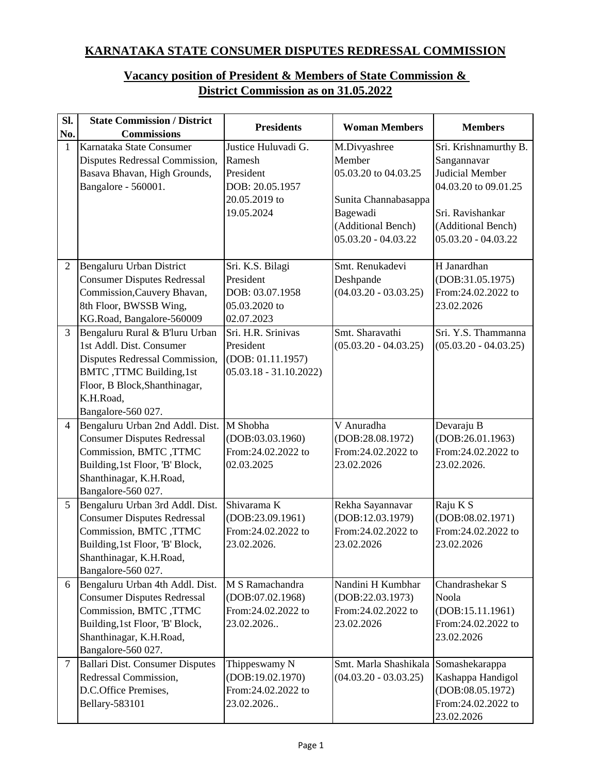## **KARNATAKA STATE CONSUMER DISPUTES REDRESSAL COMMISSION**

| SI.<br>No.     | <b>State Commission / District</b><br><b>Commissions</b>   | <b>Presidents</b>                 | <b>Woman Members</b>             | <b>Members</b>          |
|----------------|------------------------------------------------------------|-----------------------------------|----------------------------------|-------------------------|
| $\mathbf{1}$   | Karnataka State Consumer                                   | Justice Huluvadi G.               | M.Divyashree                     | Sri. Krishnamurthy B.   |
|                | Disputes Redressal Commission,                             | Ramesh                            | Member                           | Sangannavar             |
|                | Basava Bhavan, High Grounds,                               | President                         | 05.03.20 to 04.03.25             | Judicial Member         |
|                | Bangalore - 560001.                                        | DOB: 20.05.1957                   |                                  | 04.03.20 to 09.01.25    |
|                |                                                            | 20.05.2019 to                     | Sunita Channabasappa             |                         |
|                |                                                            | 19.05.2024                        | Bagewadi                         | Sri. Ravishankar        |
|                |                                                            |                                   | (Additional Bench)               | (Additional Bench)      |
|                |                                                            |                                   | $05.03.20 - 04.03.22$            | 05.03.20 - 04.03.22     |
| $\overline{2}$ | Bengaluru Urban District                                   | Sri. K.S. Bilagi                  | Smt. Renukadevi                  | H Janardhan             |
|                | <b>Consumer Disputes Redressal</b>                         | President                         | Deshpande                        | (DOB:31.05.1975)        |
|                | Commission, Cauvery Bhavan,                                | DOB: 03.07.1958                   | $(04.03.20 - 03.03.25)$          | From:24.02.2022 to      |
|                | 8th Floor, BWSSB Wing,                                     | 05.03.2020 to                     |                                  | 23.02.2026              |
|                | KG.Road, Bangalore-560009                                  | 02.07.2023                        |                                  |                         |
| $\overline{3}$ | Bengaluru Rural & B'luru Urban                             | Sri. H.R. Srinivas                | Smt. Sharavathi                  | Sri. Y.S. Thammanna     |
|                | 1st Addl. Dist. Consumer                                   | President                         | $(05.03.20 - 04.03.25)$          | $(05.03.20 - 04.03.25)$ |
|                | Disputes Redressal Commission,                             | (DOB: 01.11.1957)                 |                                  |                         |
|                | BMTC ,TTMC Building, 1st                                   | $05.03.18 - 31.10.2022$           |                                  |                         |
|                | Floor, B Block, Shanthinagar,                              |                                   |                                  |                         |
|                | K.H.Road,                                                  |                                   |                                  |                         |
|                | Bangalore-560 027.                                         |                                   |                                  |                         |
| $\overline{4}$ | Bengaluru Urban 2nd Addl. Dist.                            | M Shobha                          | V Anuradha                       | Devaraju B              |
|                | <b>Consumer Disputes Redressal</b>                         | (DOB: 03.03.1960)                 | (DOB:28.08.1972)                 | (DOB:26.01.1963)        |
|                | Commission, BMTC, TTMC                                     | From:24.02.2022 to                | From:24.02.2022 to               | From:24.02.2022 to      |
|                | Building, 1st Floor, 'B' Block,                            | 02.03.2025                        | 23.02.2026                       | 23.02.2026.             |
|                | Shanthinagar, K.H.Road,                                    |                                   |                                  |                         |
|                | Bangalore-560 027.                                         |                                   |                                  |                         |
| 5              | Bengaluru Urban 3rd Addl. Dist.                            | Shivarama K                       | Rekha Sayannavar                 | Raju K S                |
|                | <b>Consumer Disputes Redressal</b>                         | (DOB:23.09.1961)                  | (DOB:12.03.1979)                 | (DOB:08.02.1971)        |
|                | Commission, BMTC, TTMC                                     | From:24.02.2022 to<br>23.02.2026. | From:24.02.2022 to<br>23.02.2026 | From:24.02.2022 to      |
|                | Building, 1st Floor, 'B' Block,<br>Shanthinagar, K.H.Road, |                                   |                                  | 23.02.2026              |
|                | Bangalore-560 027.                                         |                                   |                                  |                         |
| 6              | Bengaluru Urban 4th Addl. Dist.                            | M S Ramachandra                   | Nandini H Kumbhar                | Chandrashekar S         |
|                | <b>Consumer Disputes Redressal</b>                         | (DOB:07.02.1968)                  | (DOB:22.03.1973)                 | Noola                   |
|                | Commission, BMTC, TTMC                                     | From:24.02.2022 to                | From:24.02.2022 to               | (DOB:15.11.1961)        |
|                | Building, 1st Floor, 'B' Block,                            | 23.02.2026                        | 23.02.2026                       | From:24.02.2022 to      |
|                | Shanthinagar, K.H.Road,                                    |                                   |                                  | 23.02.2026              |
|                | Bangalore-560 027.                                         |                                   |                                  |                         |
| $\tau$         | <b>Ballari Dist. Consumer Disputes</b>                     | Thippeswamy N                     | Smt. Marla Shashikala            | Somashekarappa          |
|                | Redressal Commission,                                      | (DOB:19.02.1970)                  | $(04.03.20 - 03.03.25)$          | Kashappa Handigol       |
|                | D.C.Office Premises,                                       | From:24.02.2022 to                |                                  | (DOB:08.05.1972)        |
|                | <b>Bellary-583101</b>                                      | 23.02.2026                        |                                  | From:24.02.2022 to      |
|                |                                                            |                                   |                                  | 23.02.2026              |

## **Vacancy position of President & Members of State Commission & District Commission as on 31.05.2022**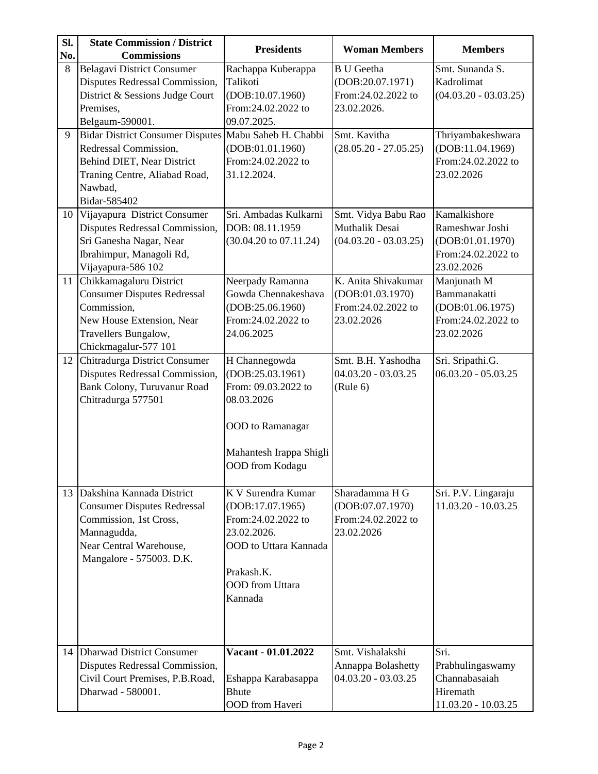| SI. | <b>State Commission / District</b>                                                                                                                                       | <b>Presidents</b>                                                                                                                                       | <b>Woman Members</b>                                                        | <b>Members</b>                                                                          |
|-----|--------------------------------------------------------------------------------------------------------------------------------------------------------------------------|---------------------------------------------------------------------------------------------------------------------------------------------------------|-----------------------------------------------------------------------------|-----------------------------------------------------------------------------------------|
| No. | <b>Commissions</b>                                                                                                                                                       |                                                                                                                                                         |                                                                             |                                                                                         |
| 8   | <b>Belagavi District Consumer</b><br>Disputes Redressal Commission,<br>District & Sessions Judge Court<br>Premises,<br>Belgaum-590001.                                   | Rachappa Kuberappa<br>Talikoti<br>(DOB:10.07.1960)<br>From:24.02.2022 to<br>09.07.2025.                                                                 | <b>B</b> U Geetha<br>(DOB:20.07.1971)<br>From:24.02.2022 to<br>23.02.2026.  | Smt. Sunanda S.<br>Kadrolimat<br>$(04.03.20 - 03.03.25)$                                |
| 9   | Bidar District Consumer Disputes Mabu Saheb H. Chabbi<br>Redressal Commission,<br>Behind DIET, Near District<br>Traning Centre, Aliabad Road,<br>Nawbad,<br>Bidar-585402 | (DOB:01.01.1960)<br>From:24.02.2022 to<br>31.12.2024.                                                                                                   | Smt. Kavitha<br>$(28.05.20 - 27.05.25)$                                     | Thriyambakeshwara<br>(DOB:11.04.1969)<br>From:24.02.2022 to<br>23.02.2026               |
| 10  | Vijayapura District Consumer<br>Disputes Redressal Commission,<br>Sri Ganesha Nagar, Near<br>Ibrahimpur, Managoli Rd,<br>Vijayapura-586 102                              | Sri. Ambadas Kulkarni<br>DOB: 08.11.1959<br>$(30.04.20 \text{ to } 07.11.24)$                                                                           | Smt. Vidya Babu Rao<br>Muthalik Desai<br>$(04.03.20 - 03.03.25)$            | Kamalkishore<br>Rameshwar Joshi<br>(DOB:01.01.1970)<br>From:24.02.2022 to<br>23.02.2026 |
| 11  | Chikkamagaluru District<br><b>Consumer Disputes Redressal</b><br>Commission,<br>New House Extension, Near<br>Travellers Bungalow,<br>Chickmagalur-577 101                | Neerpady Ramanna<br>Gowda Chennakeshava<br>(DOB:25.06.1960)<br>From:24.02.2022 to<br>24.06.2025                                                         | K. Anita Shivakumar<br>(DOB:01.03.1970)<br>From:24.02.2022 to<br>23.02.2026 | Manjunath M<br>Bammanakatti<br>(DOB:01.06.1975)<br>From:24.02.2022 to<br>23.02.2026     |
| 12  | Chitradurga District Consumer<br>Disputes Redressal Commission,<br><b>Bank Colony, Turuvanur Road</b><br>Chitradurga 577501                                              | H Channegowda<br>(DOB:25.03.1961)<br>From: 09.03.2022 to<br>08.03.2026<br><b>OOD</b> to Ramanagar<br>Mahantesh Irappa Shigli<br><b>OOD</b> from Kodagu  | Smt. B.H. Yashodha<br>04.03.20 - 03.03.25<br>(Rule 6)                       | Sri. Sripathi.G.<br>$06.03.20 - 05.03.25$                                               |
| 13  | Dakshina Kannada District<br><b>Consumer Disputes Redressal</b><br>Commission, 1st Cross,<br>Mannagudda,<br>Near Central Warehouse,<br>Mangalore - 575003. D.K.          | K V Surendra Kumar<br>(DOB:17.07.1965)<br>From:24.02.2022 to<br>23.02.2026.<br>OOD to Uttara Kannada<br>Prakash.K.<br><b>OOD</b> from Uttara<br>Kannada | Sharadamma H G<br>(DOB:07.07.1970)<br>From:24.02.2022 to<br>23.02.2026      | Sri. P.V. Lingaraju<br>$11.03.20 - 10.03.25$                                            |
| 14  | Dharwad District Consumer<br>Disputes Redressal Commission,<br>Civil Court Premises, P.B.Road,<br>Dharwad - 580001.                                                      | Vacant - 01.01.2022<br>Eshappa Karabasappa<br><b>Bhute</b><br>OOD from Haveri                                                                           | Smt. Vishalakshi<br>Annappa Bolashetty<br>$04.03.20 - 03.03.25$             | Sri.<br>Prabhulingaswamy<br>Channabasaiah<br>Hiremath<br>11.03.20 - 10.03.25            |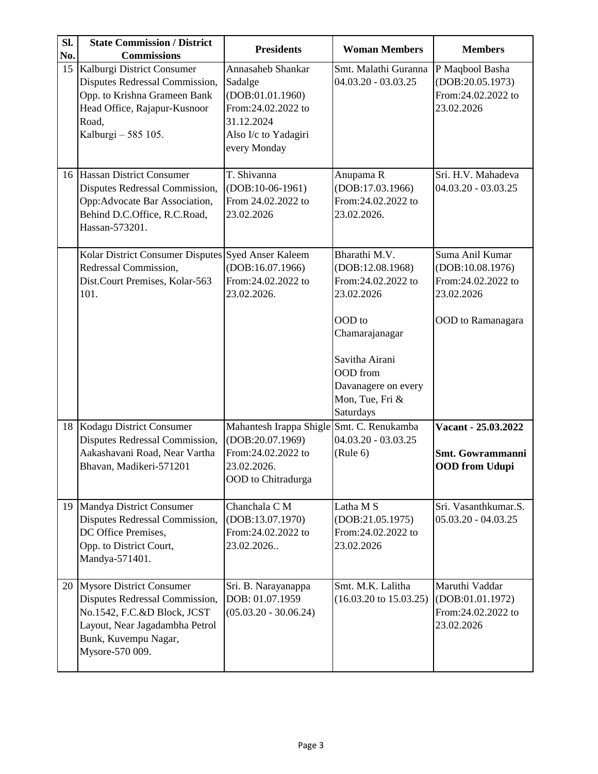| SI.<br>No. | <b>State Commission / District</b><br><b>Commissions</b>                                                                                                                  | <b>Presidents</b>                                                                                                            | <b>Woman Members</b>                                                                                                                                                                   | <b>Members</b>                                                                                      |
|------------|---------------------------------------------------------------------------------------------------------------------------------------------------------------------------|------------------------------------------------------------------------------------------------------------------------------|----------------------------------------------------------------------------------------------------------------------------------------------------------------------------------------|-----------------------------------------------------------------------------------------------------|
| 15         | Kalburgi District Consumer<br>Disputes Redressal Commission,<br>Opp. to Krishna Grameen Bank<br>Head Office, Rajapur-Kusnoor<br>Road,<br>Kalburgi - 585 105.              | Annasaheb Shankar<br>Sadalge<br>(DOB:01.01.1960)<br>From:24.02.2022 to<br>31.12.2024<br>Also I/c to Yadagiri<br>every Monday | Smt. Malathi Guranna<br>04.03.20 - 03.03.25                                                                                                                                            | P Maqbool Basha<br>(DOB:20.05.1973)<br>From:24.02.2022 to<br>23.02.2026                             |
|            | 16 Hassan District Consumer<br>Disputes Redressal Commission,<br>Opp:Advocate Bar Association,<br>Behind D.C.Office, R.C.Road,<br>Hassan-573201.                          | T. Shivanna<br>$(DOB:10-06-1961)$<br>From 24.02.2022 to<br>23.02.2026                                                        | Anupama R<br>(DOB:17.03.1966)<br>From:24.02.2022 to<br>23.02.2026.                                                                                                                     | Sri. H.V. Mahadeva<br>04.03.20 - 03.03.25                                                           |
|            | Kolar District Consumer Disputes Syed Anser Kaleem<br>Redressal Commission,<br>Dist.Court Premises, Kolar-563<br>101.                                                     | (DOB:16.07.1966)<br>From:24.02.2022 to<br>23.02.2026.                                                                        | Bharathi M.V.<br>(DOB:12.08.1968)<br>From:24.02.2022 to<br>23.02.2026<br>OOD to<br>Chamarajanagar<br>Savitha Airani<br>OOD from<br>Davanagere on every<br>Mon, Tue, Fri &<br>Saturdays | Suma Anil Kumar<br>(DOB:10.08.1976)<br>From:24.02.2022 to<br>23.02.2026<br><b>OOD</b> to Ramanagara |
| 18         | Kodagu District Consumer<br>Disputes Redressal Commission,<br>Aakashavani Road, Near Vartha<br>Bhavan, Madikeri-571201                                                    | Mahantesh Irappa Shigle Smt. C. Renukamba<br>(DOB:20.07.1969)<br>From:24.02.2022 to<br>23.02.2026.<br>OOD to Chitradurga     | $04.03.20 - 03.03.25$<br>(Rule 6)                                                                                                                                                      | Vacant - 25.03.2022<br><b>Smt. Gowrammanni</b><br><b>OOD</b> from Udupi                             |
|            | 19 Mandya District Consumer<br>Disputes Redressal Commission,<br>DC Office Premises,<br>Opp. to District Court,<br>Mandya-571401.                                         | Chanchala C M<br>(DOB:13.07.1970)<br>From:24.02.2022 to<br>23.02.2026                                                        | Latha M S<br>(DOB:21.05.1975)<br>From:24.02.2022 to<br>23.02.2026                                                                                                                      | Sri. Vasanthkumar.S.<br>$05.03.20 - 04.03.25$                                                       |
|            | 20 Mysore District Consumer<br>Disputes Redressal Commission,<br>No.1542, F.C.&D Block, JCST<br>Layout, Near Jagadambha Petrol<br>Bunk, Kuvempu Nagar,<br>Mysore-570 009. | Sri. B. Narayanappa<br>DOB: 01.07.1959<br>$(05.03.20 - 30.06.24)$                                                            | Smt. M.K. Lalitha<br>$(16.03.20 \text{ to } 15.03.25)$                                                                                                                                 | Maruthi Vaddar<br>(DOB:01.01.1972)<br>From:24.02.2022 to<br>23.02.2026                              |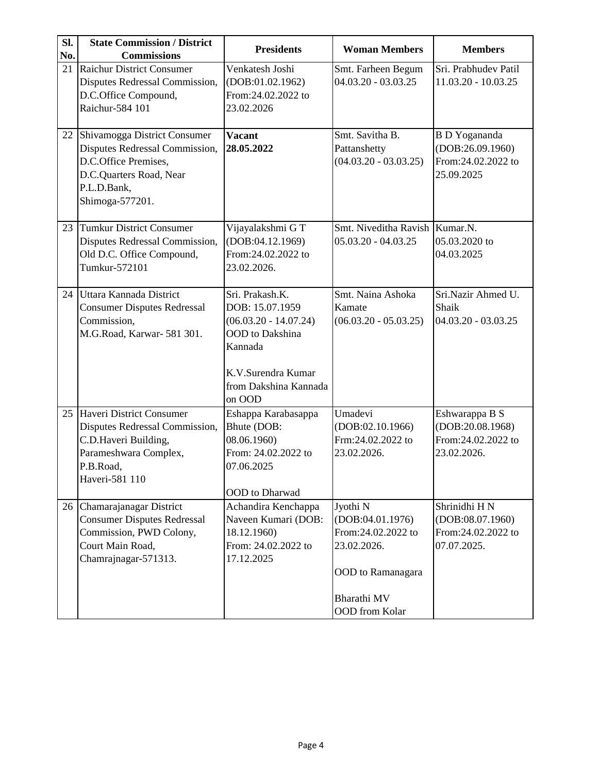| Sl.<br>No. | <b>State Commission / District</b><br><b>Commissions</b>                                                                                            | <b>Presidents</b>                                                                                                                                           | <b>Woman Members</b>                                                                                                           | <b>Members</b>                                                               |
|------------|-----------------------------------------------------------------------------------------------------------------------------------------------------|-------------------------------------------------------------------------------------------------------------------------------------------------------------|--------------------------------------------------------------------------------------------------------------------------------|------------------------------------------------------------------------------|
| 21         | <b>Raichur District Consumer</b><br>Disputes Redressal Commission,<br>D.C.Office Compound,<br>Raichur-584 101                                       | Venkatesh Joshi<br>(DOB:01.02.1962)<br>From:24.02.2022 to<br>23.02.2026                                                                                     | Smt. Farheen Begum<br>$04.03.20 - 03.03.25$                                                                                    | Sri. Prabhudev Patil<br>11.03.20 - 10.03.25                                  |
| 22         | Shivamogga District Consumer<br>Disputes Redressal Commission,<br>D.C.Office Premises,<br>D.C.Quarters Road, Near<br>P.L.D.Bank,<br>Shimoga-577201. | <b>Vacant</b><br>28.05.2022                                                                                                                                 | Smt. Savitha B.<br>Pattanshetty<br>$(04.03.20 - 03.03.25)$                                                                     | <b>B</b> D Yogananda<br>(DOB:26.09.1960)<br>From:24.02.2022 to<br>25.09.2025 |
| 23         | <b>Tumkur District Consumer</b><br>Disputes Redressal Commission,<br>Old D.C. Office Compound,<br>Tumkur-572101                                     | Vijayalakshmi GT<br>(DOB:04.12.1969)<br>From:24.02.2022 to<br>23.02.2026.                                                                                   | Smt. Niveditha Ravish Kumar.N.<br>$05.03.20 - 04.03.25$                                                                        | 05.03.2020 to<br>04.03.2025                                                  |
| 24         | Uttara Kannada District<br><b>Consumer Disputes Redressal</b><br>Commission,<br>M.G.Road, Karwar- 581 301.                                          | Sri. Prakash.K.<br>DOB: 15.07.1959<br>$(06.03.20 - 14.07.24)$<br><b>OOD</b> to Dakshina<br>Kannada<br>K.V.Surendra Kumar<br>from Dakshina Kannada<br>on OOD | Smt. Naina Ashoka<br>Kamate<br>$(06.03.20 - 05.03.25)$                                                                         | Sri.Nazir Ahmed U.<br>Shaik<br>04.03.20 - 03.03.25                           |
| 25         | Haveri District Consumer<br>Disputes Redressal Commission,<br>C.D.Haveri Building,<br>Parameshwara Complex,<br>P.B.Road,<br>Haveri-581 110          | Eshappa Karabasappa<br>Bhute (DOB:<br>08.06.1960)<br>From: 24.02.2022 to<br>07.06.2025<br><b>OOD</b> to Dharwad                                             | Umadevi<br>(DOB: 02.10.1966)<br>Frm:24.02.2022 to<br>23.02.2026.                                                               | Eshwarappa B S<br>(DOB:20.08.1968)<br>From:24.02.2022 to<br>23.02.2026.      |
| 26         | Chamarajanagar District<br><b>Consumer Disputes Redressal</b><br>Commission, PWD Colony,<br>Court Main Road,<br>Chamrajnagar-571313.                | Achandira Kenchappa<br>Naveen Kumari (DOB:<br>18.12.1960)<br>From: 24.02.2022 to<br>17.12.2025                                                              | Jyothi N<br>(DOB:04.01.1976)<br>From:24.02.2022 to<br>23.02.2026.<br><b>OOD</b> to Ramanagara<br>Bharathi MV<br>OOD from Kolar | Shrinidhi HN<br>(DOB:08.07.1960)<br>From:24.02.2022 to<br>07.07.2025.        |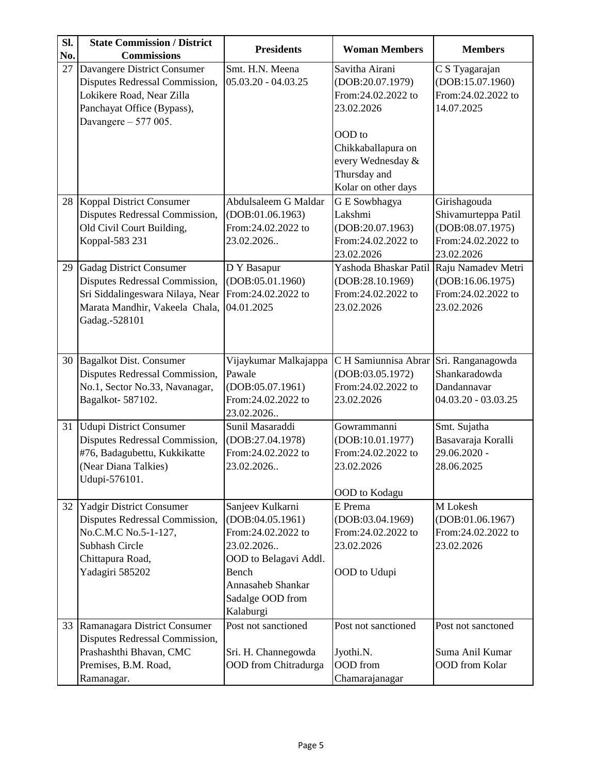| Sl. | <b>State Commission / District</b>                                                                                                                      | <b>Presidents</b>                                                                                                                                                | <b>Woman Members</b>                                                                             | <b>Members</b>                                                                              |
|-----|---------------------------------------------------------------------------------------------------------------------------------------------------------|------------------------------------------------------------------------------------------------------------------------------------------------------------------|--------------------------------------------------------------------------------------------------|---------------------------------------------------------------------------------------------|
| No. | <b>Commissions</b>                                                                                                                                      |                                                                                                                                                                  |                                                                                                  |                                                                                             |
| 27  | Davangere District Consumer<br>Disputes Redressal Commission,<br>Lokikere Road, Near Zilla<br>Panchayat Office (Bypass),<br>Davangere $-577005$ .       | Smt. H.N. Meena<br>05.03.20 - 04.03.25                                                                                                                           | Savitha Airani<br>(DOB:20.07.1979)<br>From:24.02.2022 to<br>23.02.2026                           | C S Tyagarajan<br>(DOB:15.07.1960)<br>From:24.02.2022 to<br>14.07.2025                      |
|     |                                                                                                                                                         |                                                                                                                                                                  | OOD to<br>Chikkaballapura on<br>every Wednesday &<br>Thursday and<br>Kolar on other days         |                                                                                             |
| 28  | Koppal District Consumer<br>Disputes Redressal Commission,<br>Old Civil Court Building,<br>Koppal-583 231                                               | Abdulsaleem G Maldar<br>(DOB:01.06.1963)<br>From:24.02.2022 to<br>23.02.2026                                                                                     | G E Sowbhagya<br>Lakshmi<br>(DOB:20.07.1963)<br>From:24.02.2022 to<br>23.02.2026                 | Girishagouda<br>Shivamurteppa Patil<br>(DOB:08.07.1975)<br>From:24.02.2022 to<br>23.02.2026 |
| 29  | <b>Gadag District Consumer</b><br>Disputes Redressal Commission,<br>Sri Siddalingeswara Nilaya, Near<br>Marata Mandhir, Vakeela Chala,<br>Gadag.-528101 | D Y Basapur<br>(DOB:05.01.1960)<br>From:24.02.2022 to<br>04.01.2025                                                                                              | Yashoda Bhaskar Patil Raju Namadev Metri<br>(DOB:28.10.1969)<br>From:24.02.2022 to<br>23.02.2026 | (DOB:16.06.1975)<br>From:24.02.2022 to<br>23.02.2026                                        |
| 30  | <b>Bagalkot Dist. Consumer</b><br>Disputes Redressal Commission,<br>No.1, Sector No.33, Navanagar,<br>Bagalkot-587102.                                  | Vijaykumar Malkajappa<br>Pawale<br>(DOB:05.07.1961)<br>From:24.02.2022 to<br>23.02.2026                                                                          | C H Samiunnisa Abrar Sri. Ranganagowda<br>(DOB: 03.05.1972)<br>From:24.02.2022 to<br>23.02.2026  | Shankaradowda<br>Dandannavar<br>04.03.20 - 03.03.25                                         |
| 31  | <b>Udupi District Consumer</b><br>Disputes Redressal Commission,<br>#76, Badagubettu, Kukkikatte<br>(Near Diana Talkies)<br>Udupi-576101.               | Sunil Masaraddi<br>(DOB:27.04.1978)<br>From:24.02.2022 to<br>23.02.2026                                                                                          | Gowrammanni<br>(DOB:10.01.1977)<br>From:24.02.2022 to<br>23.02.2026<br>OOD to Kodagu             | Smt. Sujatha<br>Basavaraja Koralli<br>29.06.2020 -<br>28.06.2025                            |
|     | 32 Yadgir District Consumer<br>Disputes Redressal Commission,<br>No.C.M.C No.5-1-127,<br><b>Subhash Circle</b><br>Chittapura Road,<br>Yadagiri 585202   | Sanjeev Kulkarni<br>(DOB:04.05.1961)<br>From:24.02.2022 to<br>23.02.2026<br>OOD to Belagavi Addl.<br>Bench<br>Annasaheb Shankar<br>Sadalge OOD from<br>Kalaburgi | E Prema<br>(DOB: 03.04.1969)<br>From:24.02.2022 to<br>23.02.2026<br>OOD to Udupi                 | M Lokesh<br>(DOB:01.06.1967)<br>From:24.02.2022 to<br>23.02.2026                            |
|     | 33 Ramanagara District Consumer<br>Disputes Redressal Commission,<br>Prashashthi Bhavan, CMC<br>Premises, B.M. Road,<br>Ramanagar.                      | Post not sanctioned<br>Sri. H. Channegowda<br>OOD from Chitradurga                                                                                               | Post not sanctioned<br>Jyothi.N.<br>OOD from<br>Chamarajanagar                                   | Post not sanctoned<br>Suma Anil Kumar<br><b>OOD</b> from Kolar                              |